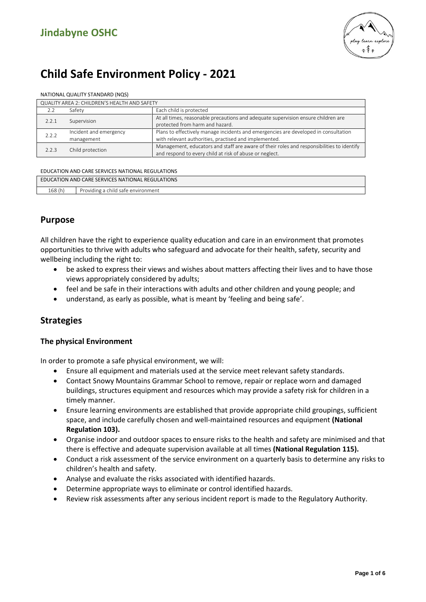

# **Child Safe Environment Policy - 2021**

| NATIONAL QUALITY STANDARD (NQS)              |                                      |                                                                                                                                                      |  |  |
|----------------------------------------------|--------------------------------------|------------------------------------------------------------------------------------------------------------------------------------------------------|--|--|
| QUALITY AREA 2: CHILDREN'S HEALTH AND SAFETY |                                      |                                                                                                                                                      |  |  |
|                                              | Safety                               | Each child is protected                                                                                                                              |  |  |
| 2.2.1                                        | Supervision                          | At all times, reasonable precautions and adequate supervision ensure children are<br>protected from harm and hazard.                                 |  |  |
| 2.2.2                                        | Incident and emergency<br>management | Plans to effectively manage incidents and emergencies are developed in consultation<br>with relevant authorities, practised and implemented.         |  |  |
| 2.2.3                                        | Child protection                     | Management, educators and staff are aware of their roles and responsibilities to identify<br>and respond to every child at risk of abuse or neglect. |  |  |

EDUCATION AND CARE SERVICES NATIONAL REGULATIONS

| EDUCATION AND CARE SERVICES NATIONAL REGULATIONS |                                    |  |
|--------------------------------------------------|------------------------------------|--|
| 168(h)                                           | Providing a child safe environment |  |
|                                                  |                                    |  |

#### **Purpose**

All children have the right to experience quality education and care in an environment that promotes opportunities to thrive with adults who safeguard and advocate for their health, safety, security and wellbeing including the right to:

- be asked to express their views and wishes about matters affecting their lives and to have those views appropriately considered by adults;
- feel and be safe in their interactions with adults and other children and young people; and
- understand, as early as possible, what is meant by 'feeling and being safe'.

#### **Strategies**

#### **The physical Environment**

In order to promote a safe physical environment, we will:

- Ensure all equipment and materials used at the service meet relevant safety standards.
- Contact Snowy Mountains Grammar School to remove, repair or replace worn and damaged buildings, structures equipment and resources which may provide a safety risk for children in a timely manner.
- Ensure learning environments are established that provide appropriate child groupings, sufficient space, and include carefully chosen and well-maintained resources and equipment **(National Regulation 103).**
- Organise indoor and outdoor spaces to ensure risks to the health and safety are minimised and that there is effective and adequate supervision available at all times **(National Regulation 115).**
- Conduct a risk assessment of the service environment on a quarterly basis to determine any risks to children's health and safety.
- Analyse and evaluate the risks associated with identified hazards.
- Determine appropriate ways to eliminate or control identified hazards.
- Review risk assessments after any serious incident report is made to the Regulatory Authority.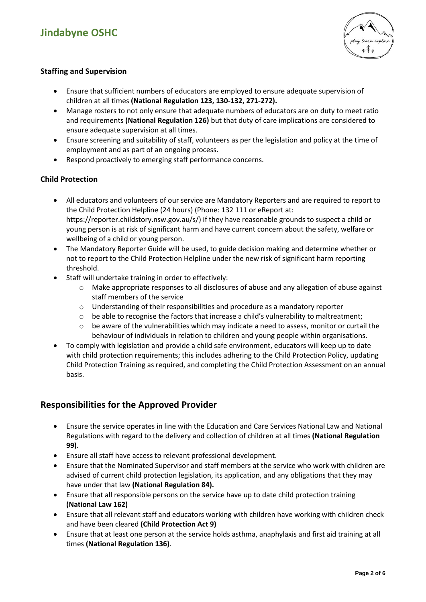

#### **Staffing and Supervision**

- Ensure that sufficient numbers of educators are employed to ensure adequate supervision of children at all times **(National Regulation 123, 130-132, 271-272).**
- Manage rosters to not only ensure that adequate numbers of educators are on duty to meet ratio and requirements **(National Regulation 126)** but that duty of care implications are considered to ensure adequate supervision at all times.
- Ensure screening and suitability of staff, volunteers as per the legislation and policy at the time of employment and as part of an ongoing process.
- Respond proactively to emerging staff performance concerns.

#### **Child Protection**

- All educators and volunteers of our service are Mandatory Reporters and are required to report to the Child Protection Helpline (24 hours) (Phone: 132 111 or eReport at: https://reporter.childstory.nsw.gov.au/s/) if they have reasonable grounds to suspect a child or young person is at risk of significant harm and have current concern about the safety, welfare or wellbeing of a child or young person.
- The Mandatory Reporter Guide will be used, to guide decision making and determine whether or not to report to the Child Protection Helpline under the new risk of significant harm reporting threshold.
- Staff will undertake training in order to effectively:
	- o Make appropriate responses to all disclosures of abuse and any allegation of abuse against staff members of the service
	- o Understanding of their responsibilities and procedure as a mandatory reporter
	- o be able to recognise the factors that increase a child's vulnerability to maltreatment;
	- $\circ$  be aware of the vulnerabilities which may indicate a need to assess, monitor or curtail the behaviour of individuals in relation to children and young people within organisations.
- To comply with legislation and provide a child safe environment, educators will keep up to date with child protection requirements; this includes adhering to the Child Protection Policy, updating Child Protection Training as required, and completing the Child Protection Assessment on an annual basis.

#### **Responsibilities for the Approved Provider**

- Ensure the service operates in line with the Education and Care Services National Law and National Regulations with regard to the delivery and collection of children at all times **(National Regulation 99).**
- Ensure all staff have access to relevant professional development.
- Ensure that the Nominated Supervisor and staff members at the service who work with children are advised of current child protection legislation, its application, and any obligations that they may have under that law **(National Regulation 84).**
- Ensure that all responsible persons on the service have up to date child protection training **(National Law 162)**
- Ensure that all relevant staff and educators working with children have working with children check and have been cleared **(Child Protection Act 9)**
- Ensure that at least one person at the service holds asthma, anaphylaxis and first aid training at all times **(National Regulation 136)**.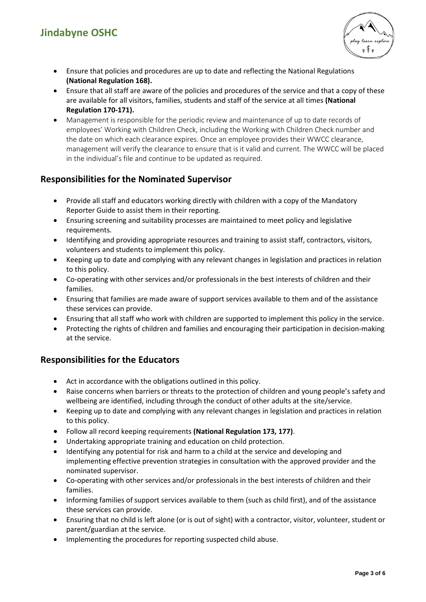# **Jindabyne OSHC**



- Ensure that policies and procedures are up to date and reflecting the National Regulations **(National Regulation 168).**
- Ensure that all staff are aware of the policies and procedures of the service and that a copy of these are available for all visitors, families, students and staff of the service at all times **(National Regulation 170-171).**
- Management is responsible for the periodic review and maintenance of up to date records of employees' Working with Children Check, including the Working with Children Check number and the date on which each clearance expires. Once an employee provides their WWCC clearance, management will verify the clearance to ensure that is it valid and current. The WWCC will be placed in the individual's file and continue to be updated as required.

#### **Responsibilities for the Nominated Supervisor**

- Provide all staff and educators working directly with children with a copy of the Mandatory Reporter Guide to assist them in their reporting.
- Ensuring screening and suitability processes are maintained to meet policy and legislative requirements.
- Identifying and providing appropriate resources and training to assist staff, contractors, visitors, volunteers and students to implement this policy.
- Keeping up to date and complying with any relevant changes in legislation and practices in relation to this policy.
- Co-operating with other services and/or professionals in the best interests of children and their families.
- Ensuring that families are made aware of support services available to them and of the assistance these services can provide.
- Ensuring that all staff who work with children are supported to implement this policy in the service.
- Protecting the rights of children and families and encouraging their participation in decision-making at the service.

### **Responsibilities for the Educators**

- Act in accordance with the obligations outlined in this policy.
- Raise concerns when barriers or threats to the protection of children and young people's safety and wellbeing are identified, including through the conduct of other adults at the site/service.
- Keeping up to date and complying with any relevant changes in legislation and practices in relation to this policy.
- Follow all record keeping requirements **(National Regulation 173, 177)**.
- Undertaking appropriate training and education on child protection.
- Identifying any potential for risk and harm to a child at the service and developing and implementing effective prevention strategies in consultation with the approved provider and the nominated supervisor.
- Co-operating with other services and/or professionals in the best interests of children and their families.
- Informing families of support services available to them (such as child first), and of the assistance these services can provide.
- Ensuring that no child is left alone (or is out of sight) with a contractor, visitor, volunteer, student or parent/guardian at the service.
- Implementing the procedures for reporting suspected child abuse.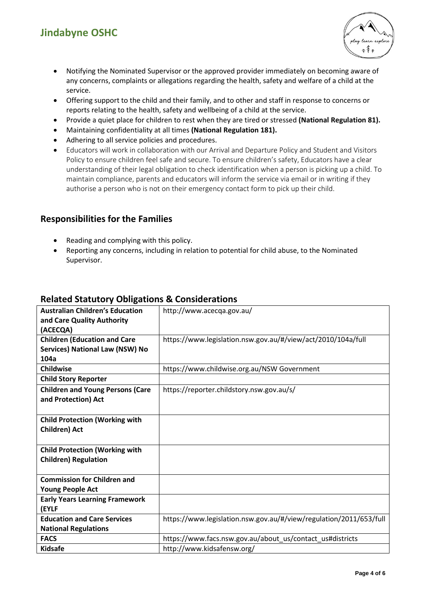## **Jindabyne OSHC**



- Notifying the Nominated Supervisor or the approved provider immediately on becoming aware of any concerns, complaints or allegations regarding the health, safety and welfare of a child at the service.
- Offering support to the child and their family, and to other and staff in response to concerns or reports relating to the health, safety and wellbeing of a child at the service.
- Provide a quiet place for children to rest when they are tired or stressed **(National Regulation 81).**
- Maintaining confidentiality at all times **(National Regulation 181).**
- Adhering to all service policies and procedures.
- Educators will work in collaboration with our Arrival and Departure Policy and Student and Visitors Policy to ensure children feel safe and secure. To ensure children's safety, Educators have a clear understanding of their legal obligation to check identification when a person is picking up a child. To maintain compliance, parents and educators will inform the service via email or in writing if they authorise a person who is not on their emergency contact form to pick up their child.

#### **Responsibilities for the Families**

- Reading and complying with this policy.
- Reporting any concerns, including in relation to potential for child abuse, to the Nominated Supervisor.

| <b>Australian Children's Education</b>                         | http://www.acecqa.gov.au/                                          |
|----------------------------------------------------------------|--------------------------------------------------------------------|
| and Care Quality Authority                                     |                                                                    |
| (ACECQA)                                                       |                                                                    |
| <b>Children (Education and Care</b>                            | https://www.legislation.nsw.gov.au/#/view/act/2010/104a/full       |
| <b>Services) National Law (NSW) No</b>                         |                                                                    |
| 104a                                                           |                                                                    |
| <b>Childwise</b>                                               | https://www.childwise.org.au/NSW Government                        |
| <b>Child Story Reporter</b>                                    |                                                                    |
| <b>Children and Young Persons (Care</b><br>and Protection) Act | https://reporter.childstory.nsw.gov.au/s/                          |
| <b>Child Protection (Working with</b><br>Children) Act         |                                                                    |
| <b>Child Protection (Working with</b>                          |                                                                    |
| <b>Children) Regulation</b>                                    |                                                                    |
|                                                                |                                                                    |
| <b>Commission for Children and</b>                             |                                                                    |
| <b>Young People Act</b>                                        |                                                                    |
| <b>Early Years Learning Framework</b>                          |                                                                    |
| (EYLF                                                          |                                                                    |
| <b>Education and Care Services</b>                             | https://www.legislation.nsw.gov.au/#/view/regulation/2011/653/full |
| <b>National Regulations</b>                                    |                                                                    |
| <b>FACS</b>                                                    | https://www.facs.nsw.gov.au/about_us/contact_us#districts          |
| <b>Kidsafe</b>                                                 | http://www.kidsafensw.org/                                         |

#### **Related Statutory Obligations & Considerations**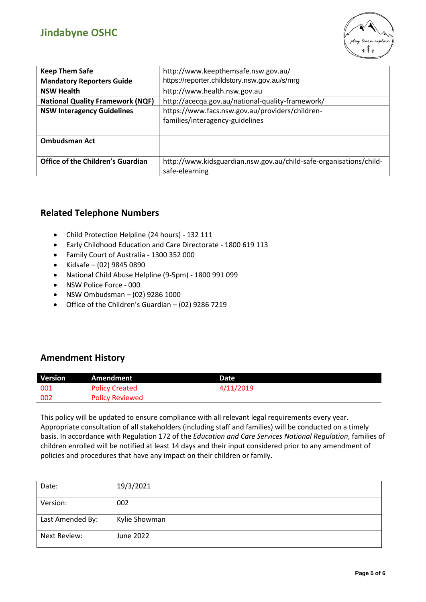

| <b>Keep Them Safe</b>                    | http://www.keepthemsafe.nsw.gov.au/                                                  |
|------------------------------------------|--------------------------------------------------------------------------------------|
| <b>Mandatory Reporters Guide</b>         | https://reporter.childstory.nsw.gov.au/s/mrg                                         |
| <b>NSW Health</b>                        | http://www.health.nsw.gov.au                                                         |
| <b>National Quality Framework (NQF)</b>  | http://acecqa.gov.au/national-quality-framework/                                     |
| <b>NSW Interagency Guidelines</b>        | https://www.facs.nsw.gov.au/providers/children-<br>families/interagency-guidelines   |
| <b>Ombudsman Act</b>                     |                                                                                      |
| <b>Office of the Children's Guardian</b> | http://www.kidsguardian.nsw.gov.au/child-safe-organisations/child-<br>safe-elearning |

#### **Related Telephone Numbers**

- Child Protection Helpline (24 hours) 132 111
- Early Childhood Education and Care Directorate 1800 619 113
- Family Court of Australia 1300 352 000
- Kidsafe (02) 9845 0890
- National Child Abuse Helpline (9-5pm) 1800 991 099
- NSW Police Force 000
- NSW Ombudsman (02) 9286 1000
- Office of the Children's Guardian (02) 9286 7219

#### **Amendment History**

| Version | Amendment              | Date      |
|---------|------------------------|-----------|
| 001     | <b>Policy Created</b>  | 4/11/2019 |
| 002     | <b>Policy Reviewed</b> |           |

This policy will be updated to ensure compliance with all relevant legal requirements every year. Appropriate consultation of all stakeholders (including staff and families) will be conducted on a timely basis. In accordance with Regulation 172 of the *Education and Care Services National Regulation*, families of children enrolled will be notified at least 14 days and their input considered prior to any amendment of policies and procedures that have any impact on their children or family.

| Date:            | 19/3/2021     |
|------------------|---------------|
| Version:         | 002           |
| Last Amended By: | Kylie Showman |
| Next Review:     | June 2022     |